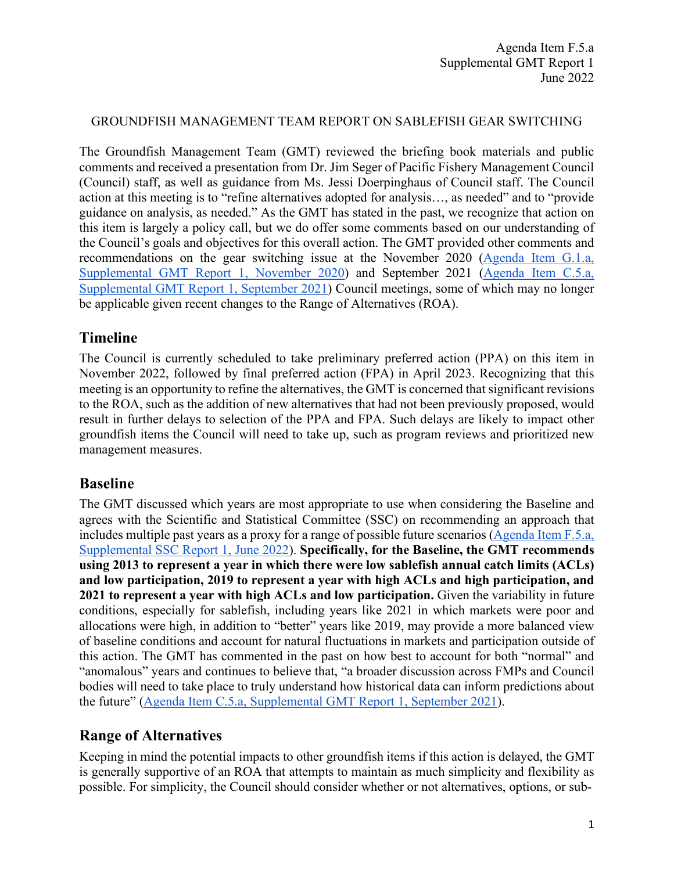### GROUNDFISH MANAGEMENT TEAM REPORT ON SABLEFISH GEAR SWITCHING

The Groundfish Management Team (GMT) reviewed the briefing book materials and public comments and received a presentation from Dr. Jim Seger of Pacific Fishery Management Council (Council) staff, as well as guidance from Ms. Jessi Doerpinghaus of Council staff. The Council action at this meeting is to "refine alternatives adopted for analysis…, as needed" and to "provide guidance on analysis, as needed." As the GMT has stated in the past, we recognize that action on this item is largely a policy call, but we do offer some comments based on our understanding of the Council's goals and objectives for this overall action. The GMT provided other comments and recommendations on the gear switching issue at the November 2020 [\(Agenda Item G.1.a,](https://www.pcouncil.org/documents/2020/11/g-1-a-supplemental-gmt-report-1.pdf/)  [Supplemental GMT Report 1, November 2020\)](https://www.pcouncil.org/documents/2020/11/g-1-a-supplemental-gmt-report-1.pdf/) and September 2021 [\(Agenda Item C.5.a,](https://www.pcouncil.org/documents/2021/09/c-5-a-supplemental-gmt-report-1-3.pdf/)  [Supplemental GMT Report 1, September 2021\)](https://www.pcouncil.org/documents/2021/09/c-5-a-supplemental-gmt-report-1-3.pdf/) Council meetings, some of which may no longer be applicable given recent changes to the Range of Alternatives (ROA).

# **Timeline**

The Council is currently scheduled to take preliminary preferred action (PPA) on this item in November 2022, followed by final preferred action (FPA) in April 2023. Recognizing that this meeting is an opportunity to refine the alternatives, the GMT is concerned that significant revisions to the ROA, such as the addition of new alternatives that had not been previously proposed, would result in further delays to selection of the PPA and FPA. Such delays are likely to impact other groundfish items the Council will need to take up, such as program reviews and prioritized new management measures.

## **Baseline**

The GMT discussed which years are most appropriate to use when considering the Baseline and agrees with the Scientific and Statistical Committee (SSC) on recommending an approach that includes multiple past years as a proxy for a range of possible future scenarios [\(Agenda Item F.5.a,](https://www.pcouncil.org/documents/2022/06/f-5-a-supplemental-ssc-report-1.pdf/)  [Supplemental SSC Report 1, June 2022\)](https://www.pcouncil.org/documents/2022/06/f-5-a-supplemental-ssc-report-1.pdf/). **Specifically, for the Baseline, the GMT recommends using 2013 to represent a year in which there were low sablefish annual catch limits (ACLs) and low participation, 2019 to represent a year with high ACLs and high participation, and 2021 to represent a year with high ACLs and low participation.** Given the variability in future conditions, especially for sablefish, including years like 2021 in which markets were poor and allocations were high, in addition to "better" years like 2019, may provide a more balanced view of baseline conditions and account for natural fluctuations in markets and participation outside of this action. The GMT has commented in the past on how best to account for both "normal" and "anomalous" years and continues to believe that, "a broader discussion across FMPs and Council bodies will need to take place to truly understand how historical data can inform predictions about the future" [\(Agenda Item C.5.a, Supplemental GMT Report 1, September 2021\)](https://www.pcouncil.org/documents/2021/09/c-5-a-supplemental-gmt-report-1-3.pdf/).

# **Range of Alternatives**

Keeping in mind the potential impacts to other groundfish items if this action is delayed, the GMT is generally supportive of an ROA that attempts to maintain as much simplicity and flexibility as possible. For simplicity, the Council should consider whether or not alternatives, options, or sub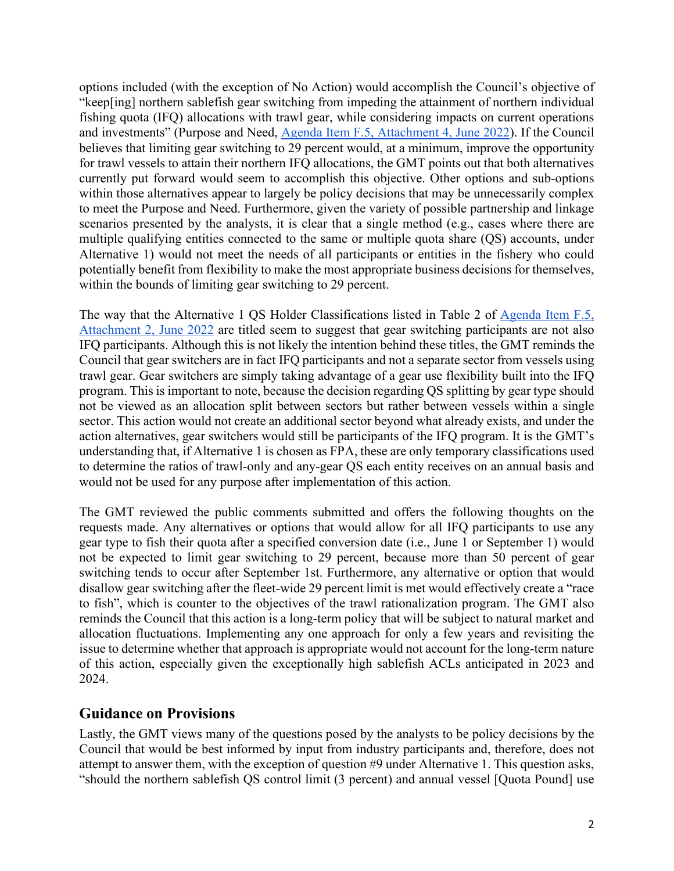options included (with the exception of No Action) would accomplish the Council's objective of "keep[ing] northern sablefish gear switching from impeding the attainment of northern individual fishing quota (IFQ) allocations with trawl gear, while considering impacts on current operations and investments" (Purpose and Need, [Agenda Item F.5, Attachment 4, June 2022\)](https://www.pcouncil.org/documents/2022/05/f-5-attachment-4-gear-switching-alternatives-analysis-annotated-outline.pdf/). If the Council believes that limiting gear switching to 29 percent would, at a minimum, improve the opportunity for trawl vessels to attain their northern IFQ allocations, the GMT points out that both alternatives currently put forward would seem to accomplish this objective. Other options and sub-options within those alternatives appear to largely be policy decisions that may be unnecessarily complex to meet the Purpose and Need. Furthermore, given the variety of possible partnership and linkage scenarios presented by the analysts, it is clear that a single method (e.g., cases where there are multiple qualifying entities connected to the same or multiple quota share (QS) accounts, under Alternative 1) would not meet the needs of all participants or entities in the fishery who could potentially benefit from flexibility to make the most appropriate business decisions for themselves, within the bounds of limiting gear switching to 29 percent.

The way that the Alternative 1 QS Holder Classifications listed in Table 2 of [Agenda Item F.5,](https://www.pcouncil.org/documents/2022/05/f-5-attachment-2-range-of-gear-switching-alternatives-adopted-for-analysis-by-the-council-at-its-september-2021-meeting-february-2022.pdf/)  [Attachment 2, June 2022](https://www.pcouncil.org/documents/2022/05/f-5-attachment-2-range-of-gear-switching-alternatives-adopted-for-analysis-by-the-council-at-its-september-2021-meeting-february-2022.pdf/) are titled seem to suggest that gear switching participants are not also IFQ participants. Although this is not likely the intention behind these titles, the GMT reminds the Council that gear switchers are in fact IFQ participants and not a separate sector from vessels using trawl gear. Gear switchers are simply taking advantage of a gear use flexibility built into the IFQ program. This is important to note, because the decision regarding QS splitting by gear type should not be viewed as an allocation split between sectors but rather between vessels within a single sector. This action would not create an additional sector beyond what already exists, and under the action alternatives, gear switchers would still be participants of the IFQ program. It is the GMT's understanding that, if Alternative 1 is chosen as FPA, these are only temporary classifications used to determine the ratios of trawl-only and any-gear QS each entity receives on an annual basis and would not be used for any purpose after implementation of this action.

The GMT reviewed the public comments submitted and offers the following thoughts on the requests made. Any alternatives or options that would allow for all IFQ participants to use any gear type to fish their quota after a specified conversion date (i.e., June 1 or September 1) would not be expected to limit gear switching to 29 percent, because more than 50 percent of gear switching tends to occur after September 1st. Furthermore, any alternative or option that would disallow gear switching after the fleet-wide 29 percent limit is met would effectively create a "race to fish", which is counter to the objectives of the trawl rationalization program. The GMT also reminds the Council that this action is a long-term policy that will be subject to natural market and allocation fluctuations. Implementing any one approach for only a few years and revisiting the issue to determine whether that approach is appropriate would not account for the long-term nature of this action, especially given the exceptionally high sablefish ACLs anticipated in 2023 and 2024.

## **Guidance on Provisions**

Lastly, the GMT views many of the questions posed by the analysts to be policy decisions by the Council that would be best informed by input from industry participants and, therefore, does not attempt to answer them, with the exception of question #9 under Alternative 1. This question asks, "should the northern sablefish QS control limit (3 percent) and annual vessel [Quota Pound] use